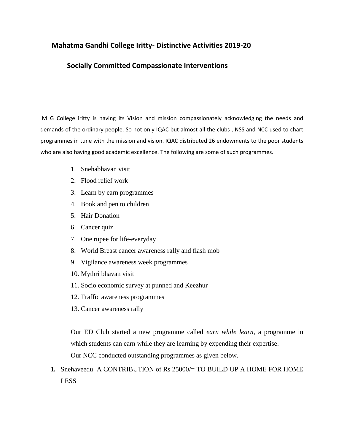## **Mahatma Gandhi College Iritty- Distinctive Activities 2019-20**

## **Socially Committed Compassionate Interventions**

M G College iritty is having its Vision and mission compassionately acknowledging the needs and demands of the ordinary people. So not only IQAC but almost all the clubs , NSS and NCC used to chart programmes in tune with the mission and vision. IQAC distributed 26 endowments to the poor students who are also having good academic excellence. The following are some of such programmes.

- 1. Snehabhavan visit
- 2. Flood relief work
- 3. Learn by earn programmes
- 4. Book and pen to children
- 5. Hair Donation
- 6. Cancer quiz
- 7. One rupee for life-everyday
- 8. World Breast cancer awareness rally and flash mob
- 9. Vigilance awareness week programmes
- 10. Mythri bhavan visit
- 11. Socio economic survey at punned and Keezhur
- 12. Traffic awareness programmes
- 13. Cancer awareness rally

Our ED Club started a new programme called *earn while learn,* a programme in which students can earn while they are learning by expending their expertise.

Our NCC conducted outstanding programmes as given below.

**1.** Snehaveedu A CONTRIBUTION of Rs 25000/= TO BUILD UP A HOME FOR HOME LESS